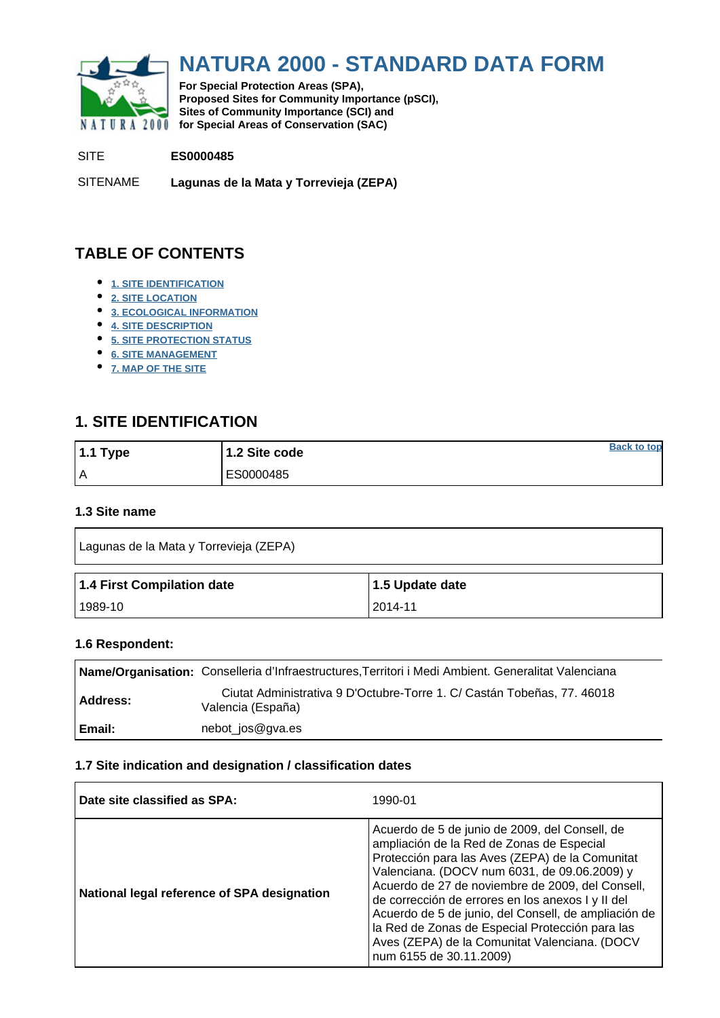<span id="page-0-0"></span>

# **NATURA 2000 - STANDARD DATA FORM**

**For Special Protection Areas (SPA), Proposed Sites for Community Importance (pSCI), Sites of Community Importance (SCI) and NATURA 2000** for Special Areas of Conservation (SAC)

#### SITE **ES0000485**

SITENAME **Lagunas de la Mata y Torrevieja (ZEPA)**

# **TABLE OF CONTENTS**

- **[1. SITE IDENTIFICATION](#page-0-1)**
- **[2. SITE LOCATION](#page-1-0)**
- **[3. ECOLOGICAL INFORMATION](#page-1-1)**
- **[4. SITE DESCRIPTION](#page-5-0)**
- **[5. SITE PROTECTION STATUS](#page-6-0)**
- **[6. SITE MANAGEMENT](#page-7-0)**
- **[7. MAP OF THE SITE](#page-7-1)**

# <span id="page-0-1"></span>**1. SITE IDENTIFICATION**

| $1.1$ Type | 1.2 Site code | <b>Back to top</b> |
|------------|---------------|--------------------|
| I۸         | ES0000485     |                    |

#### **1.3 Site name**

| Lagunas de la Mata y Torrevieja (ZEPA) |                 |  |  |  |  |  |  |
|----------------------------------------|-----------------|--|--|--|--|--|--|
|                                        |                 |  |  |  |  |  |  |
| 1.4 First Compilation date             | 1.5 Update date |  |  |  |  |  |  |

#### **1.6 Respondent:**

|                 | Name/Organisation: Conselleria d'Infraestructures, Territori i Medi Ambient. Generalitat Valenciana |
|-----------------|-----------------------------------------------------------------------------------------------------|
| <b>Address:</b> | Ciutat Administrativa 9 D'Octubre-Torre 1. C/ Castán Tobeñas, 77. 46018<br>Valencia (España)        |
| Email:          | nebot_jos@gva.es                                                                                    |

### **1.7 Site indication and designation / classification dates**

| Date site classified as SPA:                | 1990-01                                                                                                                                                                                                                                                                                                                                                                                                                                                                                        |
|---------------------------------------------|------------------------------------------------------------------------------------------------------------------------------------------------------------------------------------------------------------------------------------------------------------------------------------------------------------------------------------------------------------------------------------------------------------------------------------------------------------------------------------------------|
| National legal reference of SPA designation | Acuerdo de 5 de junio de 2009, del Consell, de<br>ampliación de la Red de Zonas de Especial<br>Protección para las Aves (ZEPA) de la Comunitat<br>Valenciana. (DOCV num 6031, de 09.06.2009) y<br>Acuerdo de 27 de noviembre de 2009, del Consell,<br>de corrección de errores en los anexos I y II del<br>Acuerdo de 5 de junio, del Consell, de ampliación de<br>la Red de Zonas de Especial Protección para las<br>Aves (ZEPA) de la Comunitat Valenciana. (DOCV<br>num 6155 de 30.11.2009) |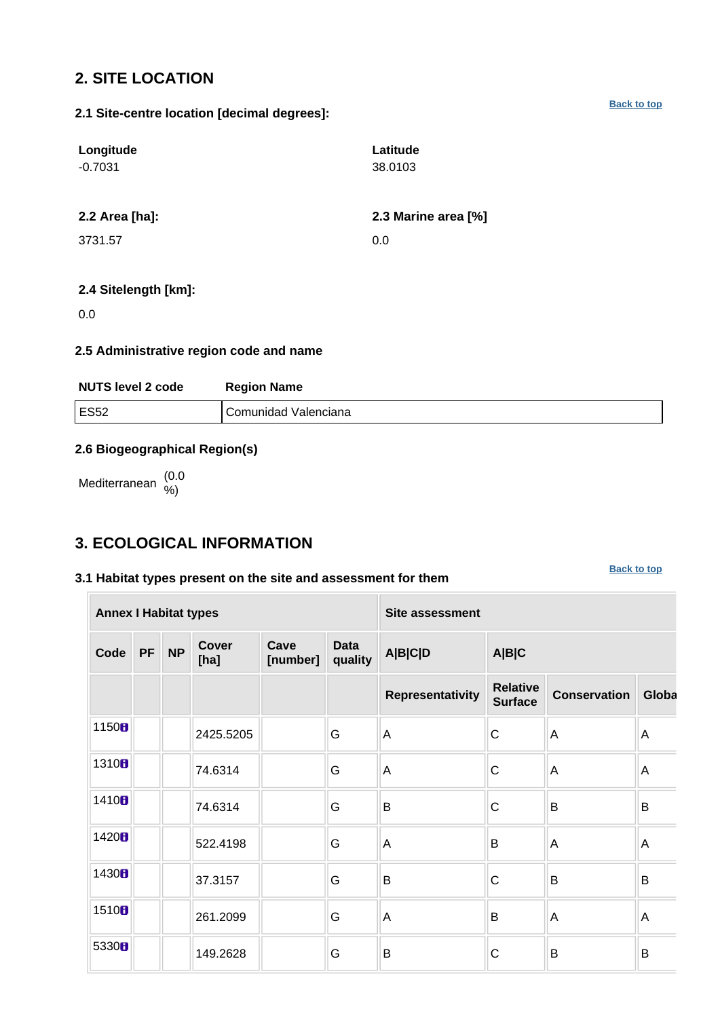# <span id="page-1-0"></span>**2. SITE LOCATION**

**Longitude** -0.7031 **Latitude** 38.0103

**2.1 Site-centre location [decimal degrees]:**

### **2.2 Area [ha]: 2.3 Marine area [%]**

3731.57 0.0

### **2.4 Sitelength [km]:**

0.0

### **2.5 Administrative region code and name**

| <b>NUTS level 2 code</b> | <b>Region Name</b>   |
|--------------------------|----------------------|
| ES52                     | Comunidad Valenciana |

### **2.6 Biogeographical Region(s)**

Mediterranean (0.0 %)

# <span id="page-1-1"></span>**3. ECOLOGICAL INFORMATION**

#### **3.1 Habitat types present on the site and assessment for them**

**[Back to top](#page-0-0)**

| <b>Annex I Habitat types</b> |                                                                    |  |                        |                |       | <b>Site assessment</b> |                                   |                     |                |  |  |  |  |
|------------------------------|--------------------------------------------------------------------|--|------------------------|----------------|-------|------------------------|-----------------------------------|---------------------|----------------|--|--|--|--|
| Code                         | <b>Cover</b><br>Cave<br><b>NP</b><br><b>PF</b><br>[number]<br>[ha] |  | <b>Data</b><br>quality | <b>A B C D</b> | A B C |                        |                                   |                     |                |  |  |  |  |
|                              |                                                                    |  |                        |                |       | Representativity       | <b>Relative</b><br><b>Surface</b> | <b>Conservation</b> | Globa          |  |  |  |  |
| 1150B                        |                                                                    |  | 2425.5205              |                | G     | A                      | $\mathsf C$                       | A                   | A              |  |  |  |  |
| 1310B                        |                                                                    |  | 74.6314                |                | G     | A                      | C                                 | A                   | $\overline{A}$ |  |  |  |  |
| 1410B                        |                                                                    |  | 74.6314                |                | G     | B                      | $\mathsf C$                       | B                   | B              |  |  |  |  |
| 1420B                        |                                                                    |  | 522.4198               |                | G     | A                      | B                                 | A                   | Α              |  |  |  |  |
| 1430B                        |                                                                    |  | 37.3157                |                | G     | B                      | $\mathsf C$                       | B                   | B              |  |  |  |  |
| 1510B                        |                                                                    |  | 261.2099               |                | G     | A                      | B                                 | A                   | A              |  |  |  |  |
| 5330H                        |                                                                    |  | 149.2628               |                | G     | B                      | C                                 | B                   | B              |  |  |  |  |

**[Back to top](#page-0-0)**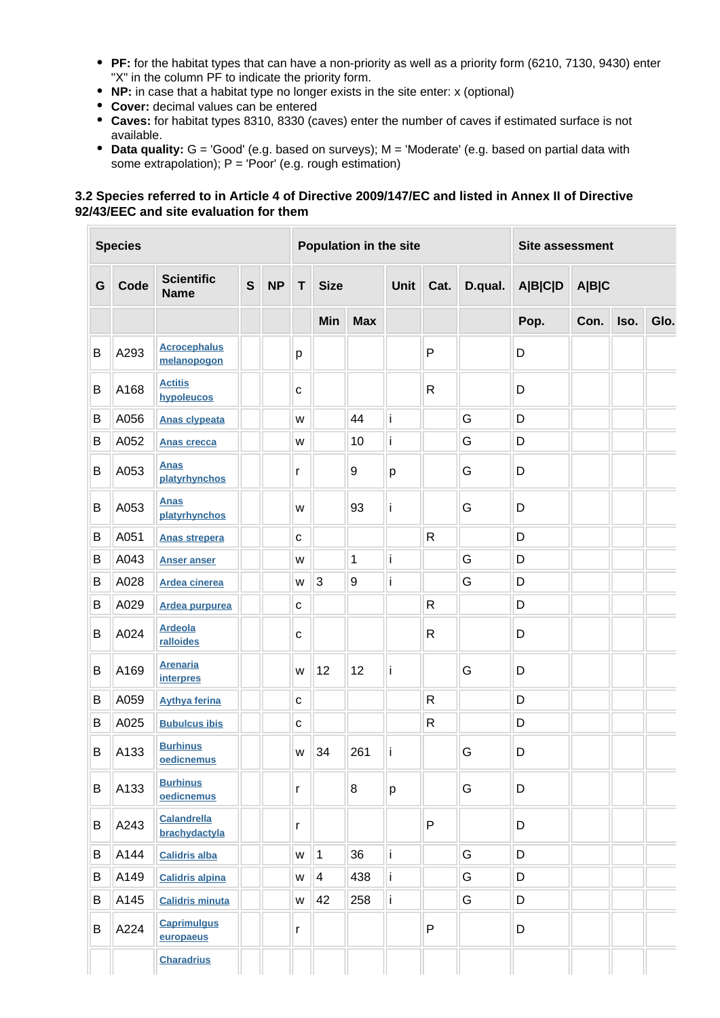- **PF:** for the habitat types that can have a non-priority as well as a priority form (6210, 7130, 9430) enter "X" in the column PF to indicate the priority form.
- **NP:** in case that a habitat type no longer exists in the site enter: x (optional)
- **Cover:** decimal values can be entered
- **Caves:** for habitat types 8310, 8330 (caves) enter the number of caves if estimated surface is not available.
- **Data quality:** G = 'Good' (e.g. based on surveys); M = 'Moderate' (e.g. based on partial data with some extrapolation);  $P = 'Poor'$  (e.g. rough estimation)

#### **3.2 Species referred to in Article 4 of Directive 2009/147/EC and listed in Annex II of Directive 92/43/EEC and site evaluation for them**

| <b>Species</b> |      |                                     |              |           |              |             | <b>Population in the site</b> | <b>Site assessment</b> |              |         |         |       |      |      |
|----------------|------|-------------------------------------|--------------|-----------|--------------|-------------|-------------------------------|------------------------|--------------|---------|---------|-------|------|------|
| G              | Code | <b>Scientific</b><br><b>Name</b>    | $\mathbf{s}$ | <b>NP</b> | T            | <b>Size</b> |                               | <b>Unit</b>            | Cat.         | D.qual. | A B C D | A B C |      |      |
|                |      |                                     |              |           |              | Min         | <b>Max</b>                    |                        |              |         | Pop.    | Con.  | Iso. | Glo. |
| B              | A293 | <b>Acrocephalus</b><br>melanopogon  |              |           | p            |             |                               |                        | $\mathsf{P}$ |         | D       |       |      |      |
| В              | A168 | <b>Actitis</b><br>hypoleucos        |              |           | $\mathbf C$  |             |                               |                        | $\mathsf{R}$ |         | D       |       |      |      |
| B              | A056 | <b>Anas clypeata</b>                |              |           | W            |             | 44                            | İ                      |              | G       | D       |       |      |      |
| В              | A052 | <b>Anas crecca</b>                  |              |           | W            |             | 10                            | İ                      |              | G       | D       |       |      |      |
| B              | A053 | <b>Anas</b><br>platyrhynchos        |              |           | r            |             | 9                             | p                      |              | G       | D       |       |      |      |
| B              | A053 | <b>Anas</b><br>platyrhynchos        |              |           | W            |             | 93                            | j                      |              | G       | D       |       |      |      |
| B              | A051 | <b>Anas strepera</b>                |              |           | $\mathbf{C}$ |             |                               |                        | $\mathsf{R}$ |         | D       |       |      |      |
| B              | A043 | <b>Anser anser</b>                  |              |           | W            |             | 1                             | İ                      |              | G       | D       |       |      |      |
| B              | A028 | <b>Ardea cinerea</b>                |              |           | W            | 3           | 9                             | İ                      |              | G       | D       |       |      |      |
| B              | A029 | Ardea purpurea                      |              |           | $\mathbf{C}$ |             |                               |                        | $\mathsf R$  |         | D       |       |      |      |
| B              | A024 | <b>Ardeola</b><br>ralloides         |              |           | $\mathbf C$  |             |                               |                        | $\mathsf{R}$ |         | D       |       |      |      |
| B              | A169 | <b>Arenaria</b><br><b>interpres</b> |              |           | W            | 12          | 12                            | j                      |              | G       | D       |       |      |      |
| B              | A059 | <b>Aythya ferina</b>                |              |           | $\mathbf{C}$ |             |                               |                        | R            |         | D       |       |      |      |
| В              | A025 | <b>Bubulcus ibis</b>                |              |           | $\mathbf{C}$ |             |                               |                        | $\mathsf{R}$ |         | D       |       |      |      |
| B              | A133 | <b>Burhinus</b><br>oedicnemus       |              |           | W            | 34          | 261                           | j                      |              | G       | D       |       |      |      |
| B              | A133 | <b>Burhinus</b><br>oedicnemus       |              |           | r            |             | 8                             | p                      |              | G       | D       |       |      |      |
| B              | A243 | <b>Calandrella</b><br>brachydactyla |              |           | r            |             |                               |                        | P            |         | D       |       |      |      |
| В              | A144 | <b>Calidris alba</b>                |              |           | W            | $\vert$ 1   | 36                            | li                     |              | G       | D       |       |      |      |
| В              | A149 | <b>Calidris alpina</b>              |              |           | W            | 4           | 438                           | İ                      |              | G       | D       |       |      |      |
| В              | A145 | <b>Calidris minuta</b>              |              |           | W            | 42          | 258                           | j                      |              | G       | D       |       |      |      |
| B              | A224 | <b>Caprimulgus</b><br>europaeus     |              |           | r            |             |                               |                        | P            |         | D       |       |      |      |
|                |      | <b>Charadrius</b>                   |              |           |              |             |                               |                        |              |         |         |       |      |      |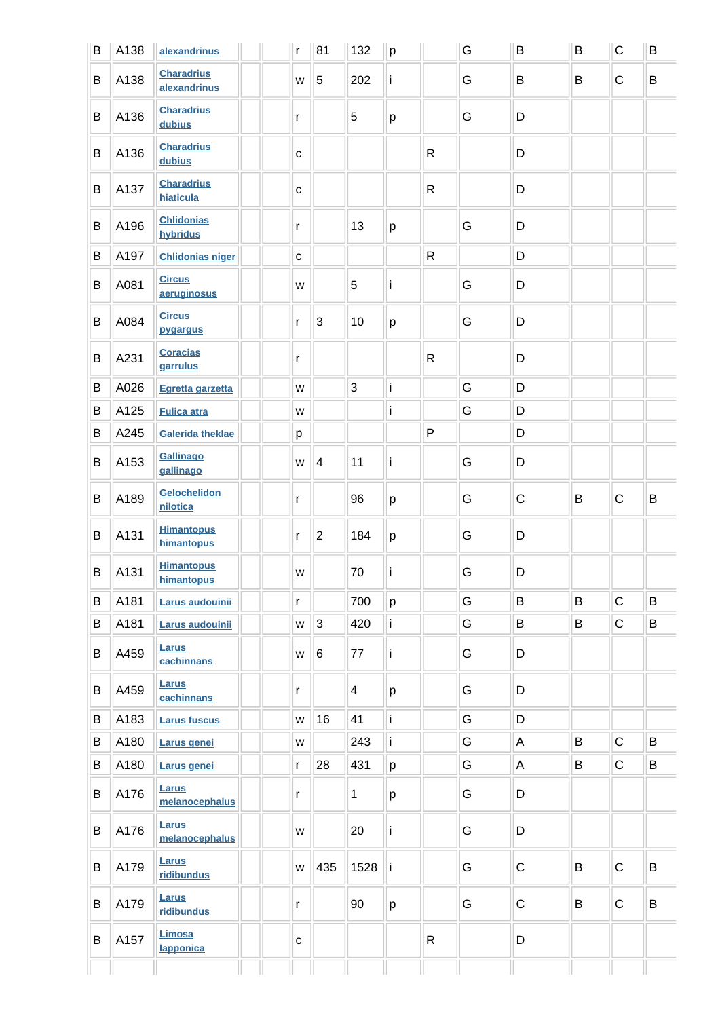| B | A138 | alexandrinus                      | $\mathsf{r}$ | 81                      | 132            | p            |              | G | B            | B | $\mathsf C$  | B |
|---|------|-----------------------------------|--------------|-------------------------|----------------|--------------|--------------|---|--------------|---|--------------|---|
| B | A138 | <b>Charadrius</b><br>alexandrinus | W            | 5                       | 202            | ï            |              | G | B            | B | $\mathsf{C}$ | B |
| B | A136 | <b>Charadrius</b><br>dubius       | r            |                         | 5              | p            |              | G | D            |   |              |   |
| B | A136 | <b>Charadrius</b><br>dubius       | $\mathbf C$  |                         |                |              | $\mathsf{R}$ |   | D            |   |              |   |
| B | A137 | <b>Charadrius</b><br>hiaticula    | $\mathbf C$  |                         |                |              | $\mathsf{R}$ |   | D            |   |              |   |
| B | A196 | <b>Chlidonias</b><br>hybridus     | r            |                         | 13             | p            |              | G | D            |   |              |   |
| B | A197 | <b>Chlidonias niger</b>           | $\mathbf{C}$ |                         |                |              | $\mathsf{R}$ |   | D            |   |              |   |
| B | A081 | <b>Circus</b><br>aeruginosus      | W            |                         | 5              | ï            |              | G | D            |   |              |   |
| B | A084 | <b>Circus</b><br>pygargus         | r            | 3                       | 10             | $\mathsf{p}$ |              | G | D            |   |              |   |
| B | A231 | <b>Coracias</b><br>garrulus       | r            |                         |                |              | $\mathsf{R}$ |   | D            |   |              |   |
| B | A026 | Egretta garzetta                  | W            |                         | 3              | ï            |              | G | D            |   |              |   |
| B | A125 | <b>Fulica atra</b>                | W            |                         |                | İ            |              | G | D            |   |              |   |
| B | A245 | <b>Galerida theklae</b>           | p            |                         |                |              | $\sf P$      |   | D            |   |              |   |
| B | A153 | Gallinago<br>gallinago            | W            | $\overline{\mathbf{4}}$ | 11             | ï            |              | G | D            |   |              |   |
| B | A189 | Gelochelidon<br>nilotica          | $\mathsf{r}$ |                         | 96             | p            |              | G | $\mathsf{C}$ | B | $\mathsf C$  | B |
| B | A131 | <b>Himantopus</b><br>himantopus   | $\mathsf{r}$ | $\overline{2}$          | 184            | p            |              | G | D            |   |              |   |
| B | A131 | <b>Himantopus</b><br>himantopus   | W            |                         | 70             | j            |              | G | D            |   |              |   |
| B | A181 | Larus audouinii                   | $\mathsf{r}$ |                         | 700            | p            |              | G | B            | B | $\mathbf C$  | B |
| B | A181 | Larus audouinii                   | W            | $\sqrt{3}$              | 420            | i.           |              | G | B            | B | $\mathsf{C}$ | B |
| B | A459 | Larus<br>cachinnans               | W            | 6                       | 77             | li.          |              | G | $\mathsf D$  |   |              |   |
| B | A459 | Larus<br>cachinnans               | r            |                         | $\overline{4}$ | p            |              | G | D            |   |              |   |
| B | A183 | <b>Larus fuscus</b>               | W            | 16                      | 41             | İ            |              | G | $\mathsf D$  |   |              |   |
| B | A180 | Larus genei                       | W            |                         | 243            | ï            |              | G | $\mathsf A$  | B | $\mathsf C$  | B |
| B | A180 | Larus genei                       | r            | 28                      | 431            | p            |              | G | $\mathsf A$  | Β | ${\bf C}$    | Β |
| B | A176 | <b>Larus</b><br>melanocephalus    | r            |                         | $\mathbf{1}$   | p            |              | G | D            |   |              |   |
| B | A176 | Larus<br>melanocephalus           | W            |                         | 20             | li.          |              | G | $\mathsf D$  |   |              |   |
| B | A179 | <b>Larus</b><br>ridibundus        | W            | 435                     | 1528           | -i           |              | G | $\mathbf C$  | B | $\mathsf C$  | B |
| B | A179 | <b>Larus</b><br>ridibundus        | r            |                         | 90             | p            |              | G | $\mathsf C$  | B | $\mathbf C$  | B |
| B | A157 | Limosa<br>lapponica               | $\mathbf{C}$ |                         |                |              | $\mathsf{R}$ |   | D            |   |              |   |
|   |      |                                   |              |                         |                |              |              |   |              |   |              |   |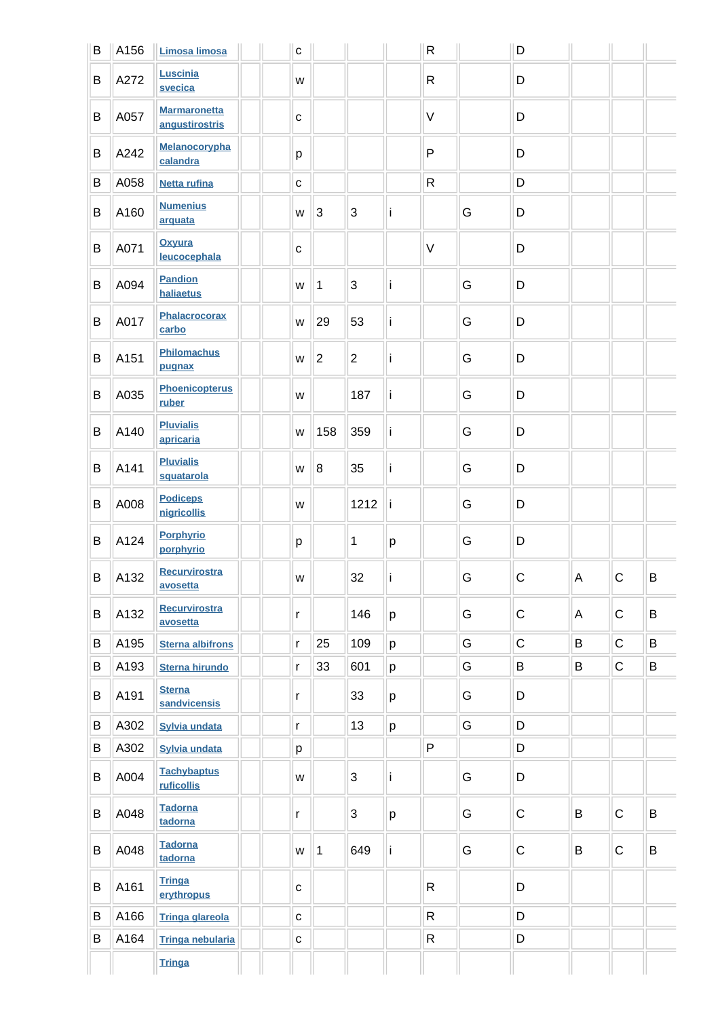| B | A156 | Limosa limosa                         | $\mathbf{C}$ |                |                |    | ${\sf R}$    |   | D              |   |             |   |
|---|------|---------------------------------------|--------------|----------------|----------------|----|--------------|---|----------------|---|-------------|---|
| B | A272 | Luscinia<br>svecica                   | W            |                |                |    | $\mathsf{R}$ |   | D              |   |             |   |
| B | A057 | <b>Marmaronetta</b><br>angustirostris | $\mathbf C$  |                |                |    | $\vee$       |   | D              |   |             |   |
| B | A242 | Melanocorypha<br>calandra             | p            |                |                |    | $\mathsf{P}$ |   | D              |   |             |   |
| B | A058 | <b>Netta rufina</b>                   | $\mathbf{C}$ |                |                |    | $\mathsf R$  |   | D              |   |             |   |
| B | A160 | <b>Numenius</b><br>arquata            | W            | 3              | 3              | ï  |              | G | D              |   |             |   |
| B | A071 | Oxyura<br>leucocephala                | $\mathbf{C}$ |                |                |    | $\vee$       |   | D              |   |             |   |
| B | A094 | <b>Pandion</b><br>haliaetus           | W            | 1              | 3              | ï  |              | G | D              |   |             |   |
| B | A017 | Phalacrocorax<br>carbo                | W            | 29             | 53             | ï  |              | G | D              |   |             |   |
| B | A151 | <b>Philomachus</b><br>pugnax          | W            | $\overline{c}$ | $\overline{c}$ | İ  |              | G | D              |   |             |   |
| B | A035 | <b>Phoenicopterus</b><br>ruber        | W            |                | 187            | İ  |              | G | D              |   |             |   |
| B | A140 | <b>Pluvialis</b><br>apricaria         | W            | 158            | 359            | İ  |              | G | D              |   |             |   |
| B | A141 | <b>Pluvialis</b><br>squatarola        | W            | 8              | 35             | İ  |              | G | D              |   |             |   |
| B | A008 | <b>Podiceps</b><br>nigricollis        | W            |                | 1212           | ۱i |              | G | D              |   |             |   |
| B | A124 | <b>Porphyrio</b><br>porphyrio         | p            |                | 1              | p  |              | G | D              |   |             |   |
| B | A132 | <b>Recurvirostra</b><br>avosetta      | W            |                | 32             | j  |              | G | $\mathsf{C}$   | Α | $\mathsf C$ | B |
| B | A132 | Recurvirostra<br>avosetta             | $\mathsf{r}$ |                | 146            | p  |              | G | $\overline{C}$ | Α | $\mathsf C$ | B |
| B | A195 | <b>Sterna albifrons</b>               | $\mathsf{r}$ | 25             | 109            | p  |              | G | $\mathsf C$    | B | $\mathbf C$ | B |
| B | A193 | <b>Sterna hirundo</b>                 | $\mathsf{r}$ | 33             | 601            | p  |              | G | B              | B | $\mathbf C$ | B |
| B | A191 | <b>Sterna</b><br>sandvicensis         | r            |                | 33             | p  |              | G | D              |   |             |   |
| B | A302 | Sylvia undata                         | r            |                | 13             | p  |              | G | D              |   |             |   |
| B | A302 | Sylvia undata                         | p            |                |                |    | $\mathsf{P}$ |   | D              |   |             |   |
| B | A004 | <b>Tachybaptus</b><br>ruficollis      | W            |                | 3              | ï  |              | G | D              |   |             |   |
| B | A048 | <b>Tadorna</b><br>tadorna             | r            |                | 3              | p  |              | G | C              | B | $\mathsf C$ | B |
| B | A048 | <b>Tadorna</b><br>tadorna             | W            | 1              | 649            | İ  |              | G | C              | B | $\mathsf C$ | B |
| B | A161 | <b>Tringa</b><br>erythropus           | $\mathbf{C}$ |                |                |    | $\mathsf{R}$ |   | D              |   |             |   |
| B | A166 | <b>Tringa glareola</b>                | $\mathbf{C}$ |                |                |    | $\mathsf{R}$ |   | D              |   |             |   |
| B | A164 | <b>Tringa nebularia</b>               | $\mathbf C$  |                |                |    | ${\sf R}$    |   | D              |   |             |   |
|   |      | <b>Tringa</b>                         |              |                |                |    |              |   |                |   |             |   |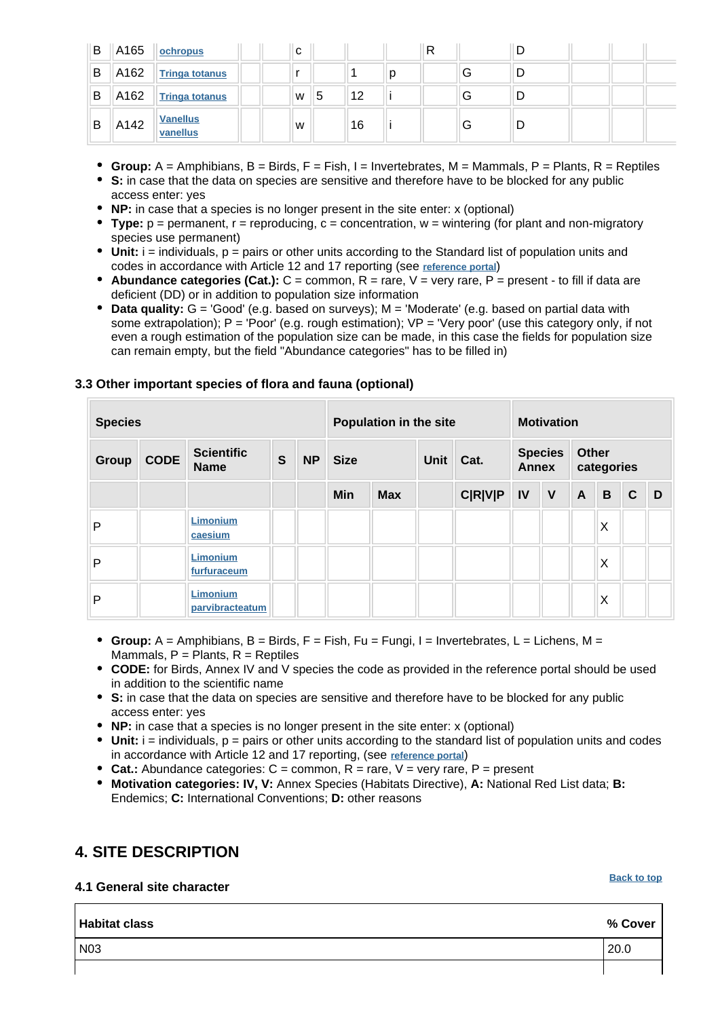| B | A165 | ochropus                    | C |   |    | R |   |  |  |
|---|------|-----------------------------|---|---|----|---|---|--|--|
| B | A162 | <b>Tringa totanus</b>       |   |   |    |   | G |  |  |
| B | A162 | <b>Tringa totanus</b>       | W | 5 | 12 |   | G |  |  |
| B | A142 | <b>Vanellus</b><br>vanellus | W |   | 16 |   | G |  |  |

- **Group:**  $A =$  Amphibians,  $B =$  Birds,  $F =$  Fish,  $I =$  Invertebrates,  $M =$  Mammals,  $P =$  Plants,  $R =$  Reptiles
- **S:** in case that the data on species are sensitive and therefore have to be blocked for any public access enter: yes
- **NP:** in case that a species is no longer present in the site enter: x (optional)
- **Type:** p = permanent, r = reproducing, c = concentration, w = wintering (for plant and non-migratory species use permanent)
- Unit: i = individuals, p = pairs or other units according to the Standard list of population units and codes in accordance with Article 12 and 17 reporting (see **[reference portal](http://bd.eionet.europa.eu/activities/Natura_2000/reference_portal)**)
- **Abundance categories (Cat.):** C = common, R = rare, V = very rare, P = present to fill if data are deficient (DD) or in addition to population size information
- **Data quality:** G = 'Good' (e.g. based on surveys); M = 'Moderate' (e.g. based on partial data with some extrapolation); P = 'Poor' (e.g. rough estimation); VP = 'Very poor' (use this category only, if not even a rough estimation of the population size can be made, in this case the fields for population size can remain empty, but the field "Abundance categories" has to be filled in)

| <b>Species</b> |             |                                  |              |           |             | Population in the site | <b>Motivation</b> |                |                                |              |                     |   |              |   |
|----------------|-------------|----------------------------------|--------------|-----------|-------------|------------------------|-------------------|----------------|--------------------------------|--------------|---------------------|---|--------------|---|
| <b>Group</b>   | <b>CODE</b> | <b>Scientific</b><br><b>Name</b> | $\mathbf{s}$ | <b>NP</b> | <b>Size</b> |                        | Unit<br>Cat.      |                | <b>Species</b><br><b>Annex</b> |              | Other<br>categories |   |              |   |
|                |             |                                  |              |           | Min         | <b>Max</b>             |                   | <b>C R V P</b> | IV                             | $\mathsf{V}$ | $\mathsf{A}$        | B | $\mathbf{C}$ | D |
| P              |             | Limonium<br>caesium              |              |           |             |                        |                   |                |                                |              |                     | X |              |   |
| P              |             | Limonium<br>furfuraceum          |              |           |             |                        |                   |                |                                |              |                     | X |              |   |
| P              |             | Limonium<br>parvibracteatum      |              |           |             |                        |                   |                |                                |              |                     | X |              |   |

#### **3.3 Other important species of flora and fauna (optional)**

- **Group:** A = Amphibians, B = Birds, F = Fish, Fu = Fungi, I = Invertebrates, L = Lichens, M = Mammals,  $P =$  Plants,  $R =$  Reptiles
- **CODE:** for Birds, Annex IV and V species the code as provided in the reference portal should be used in addition to the scientific name
- **S:** in case that the data on species are sensitive and therefore have to be blocked for any public access enter: yes
- **NP:** in case that a species is no longer present in the site enter: x (optional)
- $\bullet$  Unit:  $i =$  individuals,  $p =$  pairs or other units according to the standard list of population units and codes in accordance with Article 12 and 17 reporting, (see **[reference portal](http://bd.eionet.europa.eu/activities/Natura_2000/reference_portal)**)
- **Cat.:** Abundance categories: C = common, R = rare, V = very rare, P = present
- **Motivation categories: IV, V:** Annex Species (Habitats Directive), **A:** National Red List data; **B:** Endemics; **C:** International Conventions; **D:** other reasons

# <span id="page-5-0"></span>**4. SITE DESCRIPTION**

#### **4.1 General site character**

#### **[Back to top](#page-0-0)**

| <b>Habitat class</b> | % Cover |
|----------------------|---------|
| N03                  | 20.0    |
|                      |         |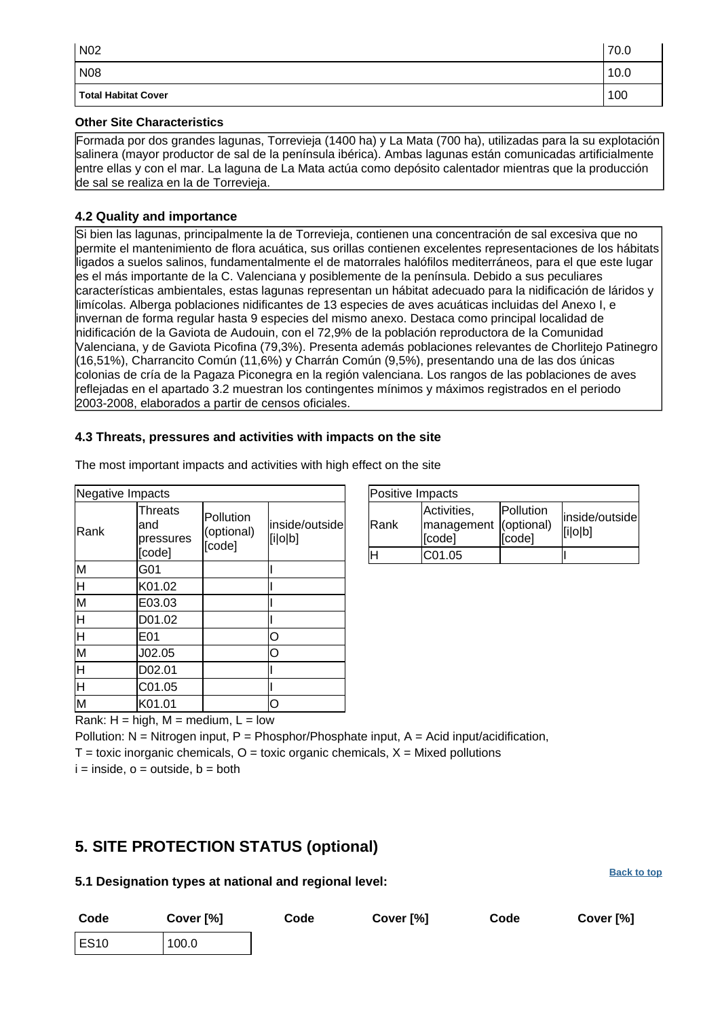| N02                        | 70.0 |
|----------------------------|------|
| N <sub>08</sub>            | 10.0 |
| <b>Total Habitat Cover</b> | 100  |

#### **Other Site Characteristics**

Formada por dos grandes lagunas, Torrevieja (1400 ha) y La Mata (700 ha), utilizadas para la su explotación salinera (mayor productor de sal de la península ibérica). Ambas lagunas están comunicadas artificialmente entre ellas y con el mar. La laguna de La Mata actúa como depósito calentador mientras que la producción de sal se realiza en la de Torrevieja.

#### **4.2 Quality and importance**

Si bien las lagunas, principalmente la de Torrevieja, contienen una concentración de sal excesiva que no permite el mantenimiento de flora acuática, sus orillas contienen excelentes representaciones de los hábitats ligados a suelos salinos, fundamentalmente el de matorrales halófilos mediterráneos, para el que este lugar es el más importante de la C. Valenciana y posiblemente de la península. Debido a sus peculiares características ambientales, estas lagunas representan un hábitat adecuado para la nidificación de láridos y limícolas. Alberga poblaciones nidificantes de 13 especies de aves acuáticas incluidas del Anexo I, e invernan de forma regular hasta 9 especies del mismo anexo. Destaca como principal localidad de nidificación de la Gaviota de Audouin, con el 72,9% de la población reproductora de la Comunidad Valenciana, y de Gaviota Picofina (79,3%). Presenta además poblaciones relevantes de Chorlitejo Patinegro (16,51%), Charrancito Común (11,6%) y Charrán Común (9,5%), presentando una de las dos únicas colonias de cría de la Pagaza Piconegra en la región valenciana. Los rangos de las poblaciones de aves reflejadas en el apartado 3.2 muestran los contingentes mínimos y máximos registrados en el periodo 2003-2008, elaborados a partir de censos oficiales.

#### **4.3 Threats, pressures and activities with impacts on the site**

| Negative Impacts                   |                                       |                                   |                           |
|------------------------------------|---------------------------------------|-----------------------------------|---------------------------|
| Rank                               | Threats<br>and<br>pressures<br>[code] | Pollution<br>(optional)<br>[code] | inside/outside<br>[i o b] |
| M                                  | G01                                   |                                   |                           |
| $\overline{\mathsf{H}}$            | K01.02                                |                                   |                           |
| $\overline{\mathsf{M}}$            | E03.03                                |                                   |                           |
| H                                  | D01.02                                |                                   |                           |
| $\overline{H}$                     | E01                                   |                                   | O                         |
| Μ                                  | J02.05                                |                                   | $\Omega$                  |
| $\overline{\mathsf{H}}$            | D02.01                                |                                   |                           |
| $\overline{\overline{\mathsf{H}}}$ | C01.05                                |                                   |                           |
| M                                  | K01.01                                |                                   | റ                         |

| The most important impacts and activities with high effect on the site |  |  |  |  |  |
|------------------------------------------------------------------------|--|--|--|--|--|

| Positive Impacts |                                                |                     |                           |
|------------------|------------------------------------------------|---------------------|---------------------------|
| Rank             | Activities,<br>management (optional)<br>[code] | Pollution<br>[code] | inside/outside<br>[i o b] |
| lН               | C01.05                                         |                     |                           |

**[Back to top](#page-0-0)**

Rank:  $H = high$ ,  $M = medium$ ,  $L = low$ 

Pollution:  $N =$  Nitrogen input, P = Phosphor/Phosphate input, A = Acid input/acidification,

 $T =$  toxic inorganic chemicals,  $Q =$  toxic organic chemicals,  $X =$  Mixed pollutions

 $i =$  inside,  $o =$  outside,  $b =$  both

# <span id="page-6-0"></span>**5. SITE PROTECTION STATUS (optional)**

#### **5.1 Designation types at national and regional level:**

| Code        | Cover [%] | Code | Cover [%] | Code | Cover [%] |
|-------------|-----------|------|-----------|------|-----------|
| <b>ES10</b> | 100.0     |      |           |      |           |